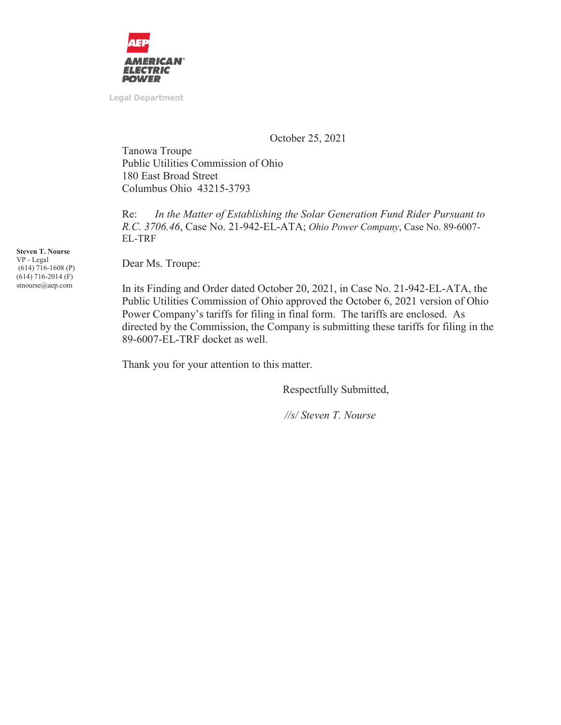

**Legal Department** 

October 25, 2021

Tanowa Troupe Public Utilities Commission of Ohio 180 East Broad Street Columbus Ohio 43215-3793

Re: *In the Matter of Establishing the Solar Generation Fund Rider Pursuant to R.C. 3706.46*, Case No. 21-942-EL-ATA; *Ohio Power Company*, Case No. 89-6007- EL-TRF

Dear Ms. Troupe:

In its Finding and Order dated October 20, 2021, in Case No. 21-942-EL-ATA, the Public Utilities Commission of Ohio approved the October 6, 2021 version of Ohio Power Company's tariffs for filing in final form. The tariffs are enclosed. As directed by the Commission, the Company is submitting these tariffs for filing in the 89-6007-EL-TRF docket as well.

Thank you for your attention to this matter.

Respectfully Submitted,

 *//s/ Steven T. Nourse* 

**Steven T. Nourse**  VP - Legal (614) 716-1608 (P) (614) 716-2014 (F) stnourse@aep.com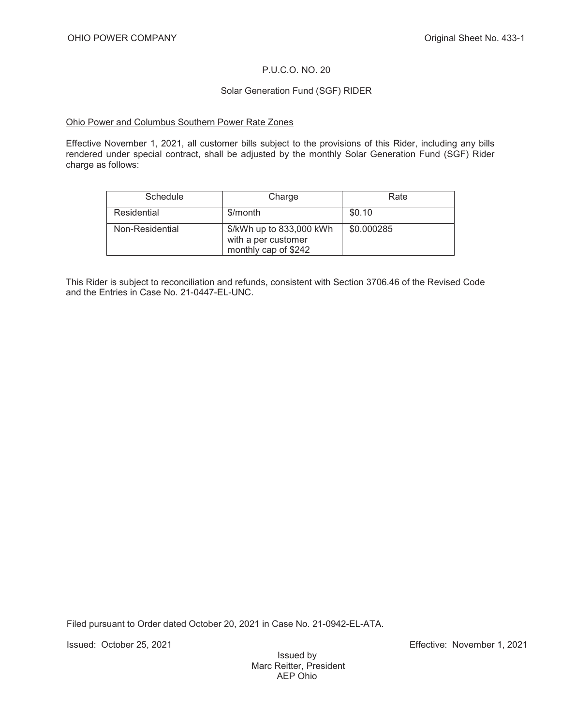### P.U.C.O. NO. 20

### Solar Generation Fund (SGF) RIDER

#### Ohio Power and Columbus Southern Power Rate Zones

Effective November 1, 2021, all customer bills subject to the provisions of this Rider, including any bills rendered under special contract, shall be adjusted by the monthly Solar Generation Fund (SGF) Rider charge as follows:

| Schedule        | Charge                                                                  | Rate       |
|-----------------|-------------------------------------------------------------------------|------------|
| Residential     | \$/month                                                                | \$0.10     |
| Non-Residential | \$/kWh up to 833,000 kWh<br>with a per customer<br>monthly cap of \$242 | \$0.000285 |

This Rider is subject to reconciliation and refunds, consistent with Section 3706.46 of the Revised Code and the Entries in Case No. 21-0447-EL-UNC.

Filed pursuant to Order dated October 20, 2021 in Case No. 21-0942-EL-ATA.

Issued: October 25, 2021 Effective: November 1, 2021

Issued by Marc Reitter, President AEP Ohio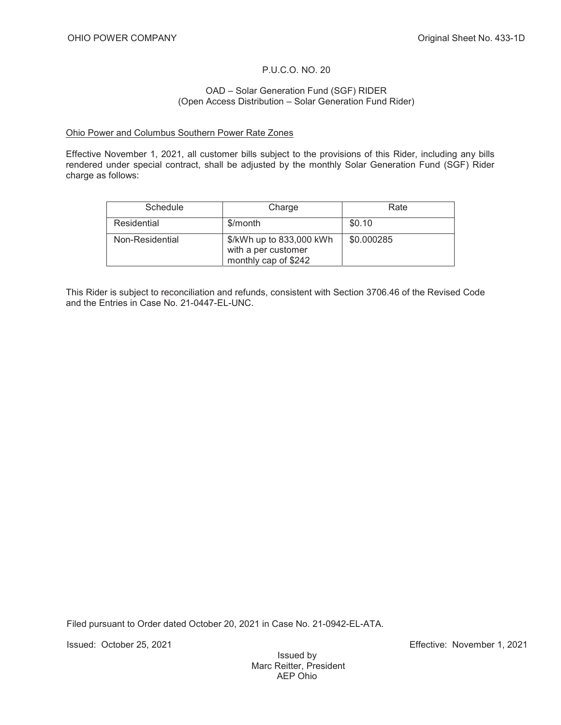### P.U.C.O. NO. 20

#### OAD – Solar Generation Fund (SGF) RIDER (Open Access Distribution – Solar Generation Fund Rider)

#### Ohio Power and Columbus Southern Power Rate Zones

Effective November 1, 2021, all customer bills subject to the provisions of this Rider, including any bills rendered under special contract, shall be adjusted by the monthly Solar Generation Fund (SGF) Rider charge as follows:

| Schedule        | Charge                                                                  | Rate       |
|-----------------|-------------------------------------------------------------------------|------------|
| Residential     | \$/month                                                                | \$0.10     |
| Non-Residential | \$/kWh up to 833,000 kWh<br>with a per customer<br>monthly cap of \$242 | \$0.000285 |

This Rider is subject to reconciliation and refunds, consistent with Section 3706.46 of the Revised Code and the Entries in Case No. 21-0447-EL-UNC.

Filed pursuant to Order dated October 20, 2021 in Case No. 21-0942-EL-ATA.

Issued: October 25, 2021 Effective: November 1, 2021

Issued by Marc Reitter, President AEP Ohio